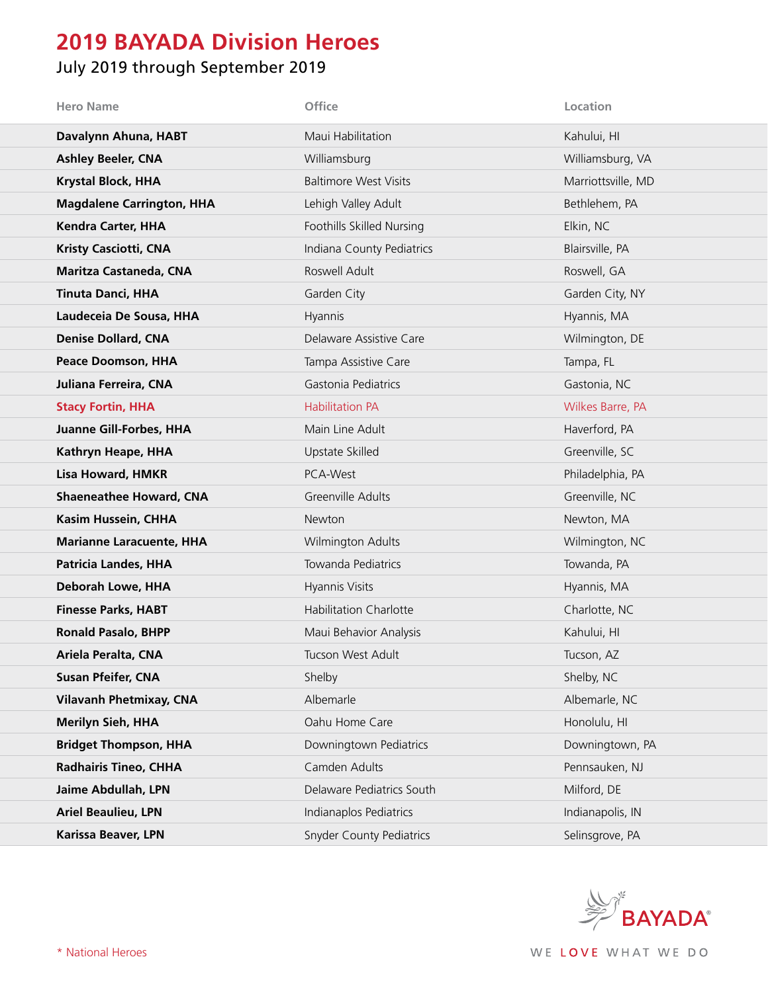## **2019 BAYADA Division Heroes**

## July 2019 through September 2019

| <b>Hero Name</b>                 | <b>Office</b>                   | Location           |
|----------------------------------|---------------------------------|--------------------|
| Davalynn Ahuna, HABT             | Maui Habilitation               | Kahului, HI        |
| <b>Ashley Beeler, CNA</b>        | Williamsburg                    | Williamsburg, VA   |
| <b>Krystal Block, HHA</b>        | <b>Baltimore West Visits</b>    | Marriottsville, MD |
| <b>Magdalene Carrington, HHA</b> | Lehigh Valley Adult             | Bethlehem, PA      |
| <b>Kendra Carter, HHA</b>        | Foothills Skilled Nursing       | Elkin, NC          |
| <b>Kristy Casciotti, CNA</b>     | Indiana County Pediatrics       | Blairsville, PA    |
| <b>Maritza Castaneda, CNA</b>    | Roswell Adult                   | Roswell, GA        |
| <b>Tinuta Danci, HHA</b>         | Garden City                     | Garden City, NY    |
| Laudeceia De Sousa, HHA          | Hyannis                         | Hyannis, MA        |
| <b>Denise Dollard, CNA</b>       | Delaware Assistive Care         | Wilmington, DE     |
| Peace Doomson, HHA               | Tampa Assistive Care            | Tampa, FL          |
| Juliana Ferreira, CNA            | Gastonia Pediatrics             | Gastonia, NC       |
| <b>Stacy Fortin, HHA</b>         | <b>Habilitation PA</b>          | Wilkes Barre, PA   |
| <b>Juanne Gill-Forbes, HHA</b>   | Main Line Adult                 | Haverford, PA      |
| Kathryn Heape, HHA               | Upstate Skilled                 | Greenville, SC     |
| Lisa Howard, HMKR                | PCA-West                        | Philadelphia, PA   |
| <b>Shaeneathee Howard, CNA</b>   | Greenville Adults               | Greenville, NC     |
| Kasim Hussein, CHHA              | Newton                          | Newton, MA         |
| <b>Marianne Laracuente, HHA</b>  | Wilmington Adults               | Wilmington, NC     |
| <b>Patricia Landes, HHA</b>      | Towanda Pediatrics              | Towanda, PA        |
| Deborah Lowe, HHA                | Hyannis Visits                  | Hyannis, MA        |
| <b>Finesse Parks, HABT</b>       | <b>Habilitation Charlotte</b>   | Charlotte, NC      |
| <b>Ronald Pasalo, BHPP</b>       | Maui Behavior Analysis          | Kahului, HI        |
| Ariela Peralta, CNA              | Tucson West Adult               | Tucson, AZ         |
| <b>Susan Pfeifer, CNA</b>        | Shelby                          | Shelby, NC         |
| <b>Vilavanh Phetmixay, CNA</b>   | Albemarle                       | Albemarle, NC      |
| <b>Merilyn Sieh, HHA</b>         | Oahu Home Care                  | Honolulu, HI       |
| <b>Bridget Thompson, HHA</b>     | Downingtown Pediatrics          | Downingtown, PA    |
| <b>Radhairis Tineo, CHHA</b>     | Camden Adults                   | Pennsauken, NJ     |
| Jaime Abdullah, LPN              | Delaware Pediatrics South       | Milford, DE        |
| <b>Ariel Beaulieu, LPN</b>       | Indianaplos Pediatrics          | Indianapolis, IN   |
| Karissa Beaver, LPN              | <b>Snyder County Pediatrics</b> | Selinsgrove, PA    |

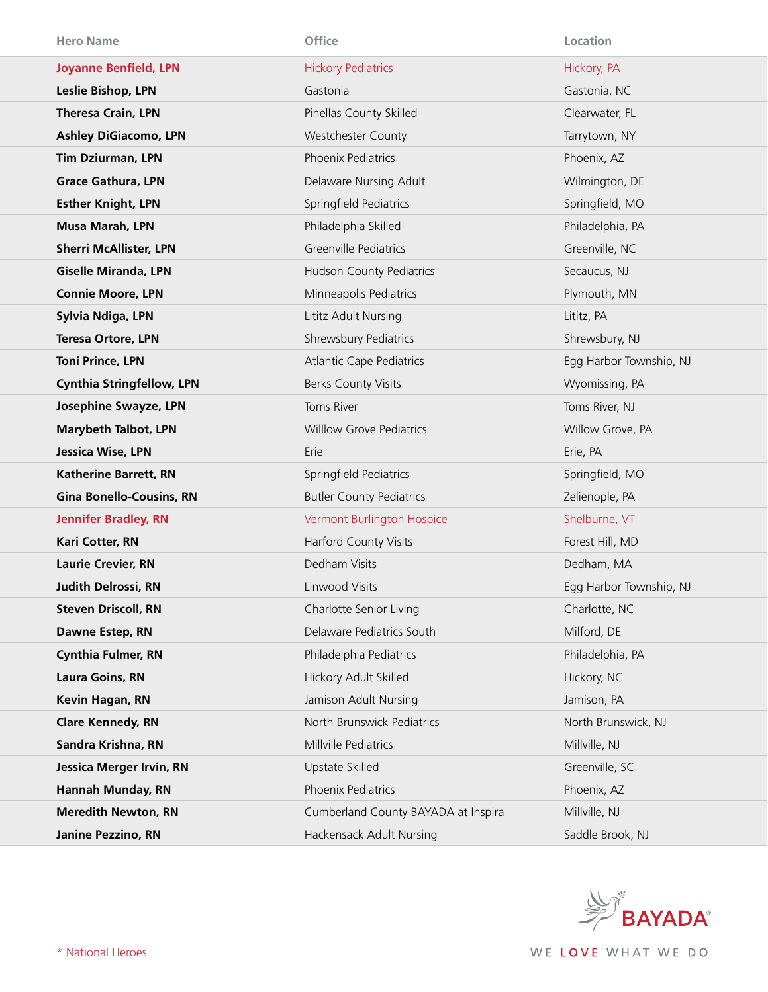| <b>Hero Name</b>                 | Office                              | Location                |
|----------------------------------|-------------------------------------|-------------------------|
| <b>Joyanne Benfield, LPN</b>     | <b>Hickory Pediatrics</b>           | Hickory, PA             |
| Leslie Bishop, LPN               | Gastonia                            | Gastonia, NC            |
| <b>Theresa Crain, LPN</b>        | Pinellas County Skilled             | Clearwater, FL          |
| <b>Ashley DiGiacomo, LPN</b>     | Westchester County                  | Tarrytown, NY           |
| <b>Tim Dziurman, LPN</b>         | Phoenix Pediatrics                  | Phoenix, AZ             |
| <b>Grace Gathura, LPN</b>        | Delaware Nursing Adult              | Wilmington, DE          |
| <b>Esther Knight, LPN</b>        | Springfield Pediatrics              | Springfield, MO         |
| Musa Marah, LPN                  | Philadelphia Skilled                | Philadelphia, PA        |
| <b>Sherri McAllister, LPN</b>    | Greenville Pediatrics               | Greenville, NC          |
| <b>Giselle Miranda, LPN</b>      | Hudson County Pediatrics            | Secaucus, NJ            |
| <b>Connie Moore, LPN</b>         | Minneapolis Pediatrics              | Plymouth, MN            |
| Sylvia Ndiga, LPN                | Lititz Adult Nursing                | Lititz, PA              |
| <b>Teresa Ortore, LPN</b>        | Shrewsbury Pediatrics               | Shrewsbury, NJ          |
| <b>Toni Prince, LPN</b>          | <b>Atlantic Cape Pediatrics</b>     | Egg Harbor Township, NJ |
| <b>Cynthia Stringfellow, LPN</b> | <b>Berks County Visits</b>          | Wyomissing, PA          |
| <b>Josephine Swayze, LPN</b>     | Toms River                          | Toms River, NJ          |
| <b>Marybeth Talbot, LPN</b>      | <b>Willlow Grove Pediatrics</b>     | Willow Grove, PA        |
|                                  |                                     |                         |
| Jessica Wise, LPN                | Erie                                | Erie, PA                |
| <b>Katherine Barrett, RN</b>     | Springfield Pediatrics              | Springfield, MO         |
| <b>Gina Bonello-Cousins, RN</b>  | <b>Butler County Pediatrics</b>     | Zelienople, PA          |
| <b>Jennifer Bradley, RN</b>      | Vermont Burlington Hospice          | Shelburne, VT           |
| Kari Cotter, RN                  | Harford County Visits               | Forest Hill, MD         |
| <b>Laurie Crevier, RN</b>        | Dedham Visits                       | Dedham, MA              |
| <b>Judith Delrossi, RN</b>       | Linwood Visits                      | Egg Harbor Township, NJ |
| <b>Steven Driscoll, RN</b>       | Charlotte Senior Living             | Charlotte, NC           |
| Dawne Estep, RN                  | Delaware Pediatrics South           | Milford, DE             |
| <b>Cynthia Fulmer, RN</b>        | Philadelphia Pediatrics             | Philadelphia, PA        |
| <b>Laura Goins, RN</b>           | Hickory Adult Skilled               | Hickory, NC             |
| Kevin Hagan, RN                  | Jamison Adult Nursing               | Jamison, PA             |
| <b>Clare Kennedy, RN</b>         | North Brunswick Pediatrics          | North Brunswick, NJ     |
| Sandra Krishna, RN               | Millville Pediatrics                | Millville, NJ           |
| <b>Jessica Merger Irvin, RN</b>  | Upstate Skilled                     | Greenville, SC          |
| Hannah Munday, RN                | Phoenix Pediatrics                  | Phoenix, AZ             |
| <b>Meredith Newton, RN</b>       | Cumberland County BAYADA at Inspira | Millville, NJ           |